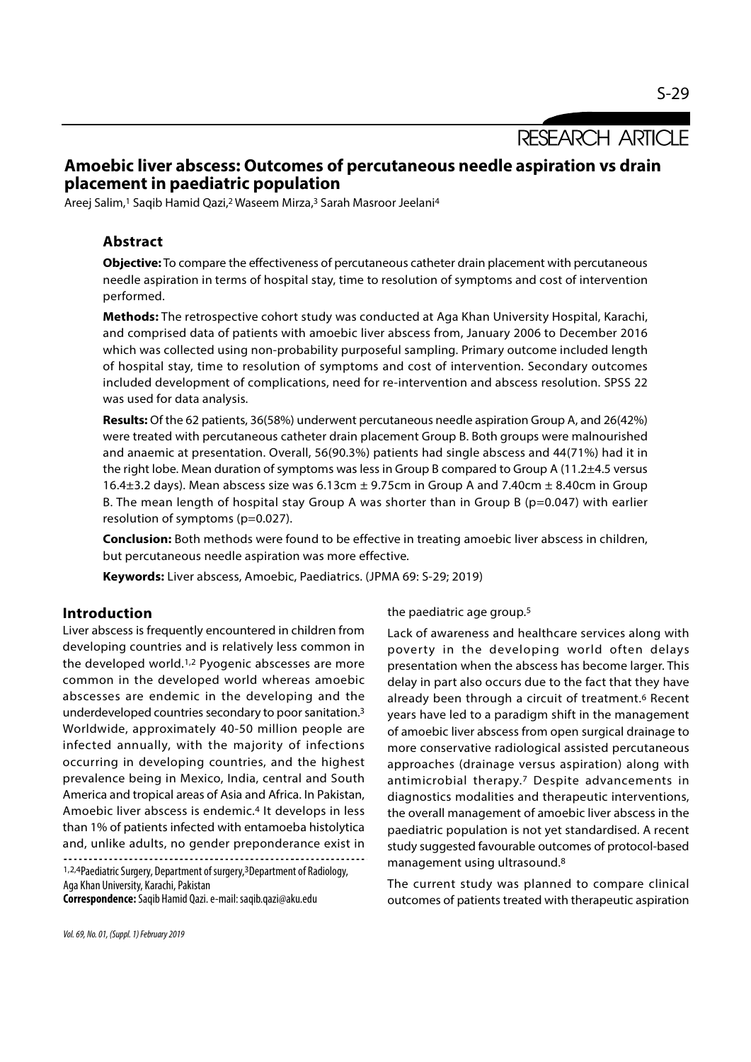RESEARCH ARTICLE

# Amoebic liver abscess: Outcomes of percutaneous needle aspiration vs drain placement in paediatric population

Areej Salim,<sup>1</sup> Saqib Hamid Qazi,<sup>2</sup> Waseem Mirza,<sup>3</sup> Sarah Masroor Jeelani<sup>4</sup>

## Abstract

Objective: To compare the effectiveness of percutaneous catheter drain placement with percutaneous needle aspiration in terms of hospital stay, time to resolution of symptoms and cost of intervention performed.

Methods: The retrospective cohort study was conducted at Aga Khan University Hospital, Karachi, and comprised data of patients with amoebic liver abscess from, January 2006 to December 2016 which was collected using non-probability purposeful sampling. Primary outcome included length of hospital stay, time to resolution of symptoms and cost of intervention. Secondary outcomes included development of complications, need for re-intervention and abscess resolution. SPSS 22 was used for data analysis.

Results: Of the 62 patients, 36(58%) underwent percutaneous needle aspiration Group A, and 26(42%) were treated with percutaneous catheter drain placement Group B. Both groups were malnourished and anaemic at presentation. Overall, 56(90.3%) patients had single abscess and 44(71%) had it in the right lobe. Mean duration of symptoms was less in Group B compared to Group A (11.2±4.5 versus 16.4 $\pm$ 3.2 days). Mean abscess size was 6.13cm  $\pm$  9.75cm in Group A and 7.40cm  $\pm$  8.40cm in Group B. The mean length of hospital stay Group A was shorter than in Group B (p=0.047) with earlier resolution of symptoms (p=0.027).

**Conclusion:** Both methods were found to be effective in treating amoebic liver abscess in children, but percutaneous needle aspiration was more effective.

Keywords: Liver abscess, Amoebic, Paediatrics. (JPMA 69: S-29; 2019)

### Introduction

Liver abscess is frequently encountered in children from developing countries and is relatively less common in the developed world.1,2 Pyogenic abscesses are more common in the developed world whereas amoebic abscesses are endemic in the developing and the underdeveloped countries secondary to poor sanitation.3 Worldwide, approximately 40-50 million people are infected annually, with the majority of infections occurring in developing countries, and the highest prevalence being in Mexico, India, central and South America and tropical areas of Asia and Africa. In Pakistan, Amoebic liver abscess is endemic.4 It develops in less than 1% of patients infected with entamoeba histolytica and, unlike adults, no gender preponderance exist in 

the paediatric age group.5

Lack of awareness and healthcare services along with poverty in the developing world often delays presentation when the abscess has become larger. This delay in part also occurs due to the fact that they have already been through a circuit of treatment.<sup>6</sup> Recent years have led to a paradigm shift in the management of amoebic liver abscess from open surgical drainage to more conservative radiological assisted percutaneous approaches (drainage versus aspiration) along with antimicrobial therapy.7 Despite advancements in diagnostics modalities and therapeutic interventions, the overall management of amoebic liver abscess in the paediatric population is not yet standardised. A recent study suggested favourable outcomes of protocol-based management using ultrasound.8

The current study was planned to compare clinical outcomes of patients treated with therapeutic aspiration

<sup>1,2,4</sup>Paediatric Surgery, Department of surgery,3Department of Radiology, Aga Khan University, Karachi, Pakistan

Correspondence: Saqib Hamid Qazi. e-mail: saqib.qazi@aku.edu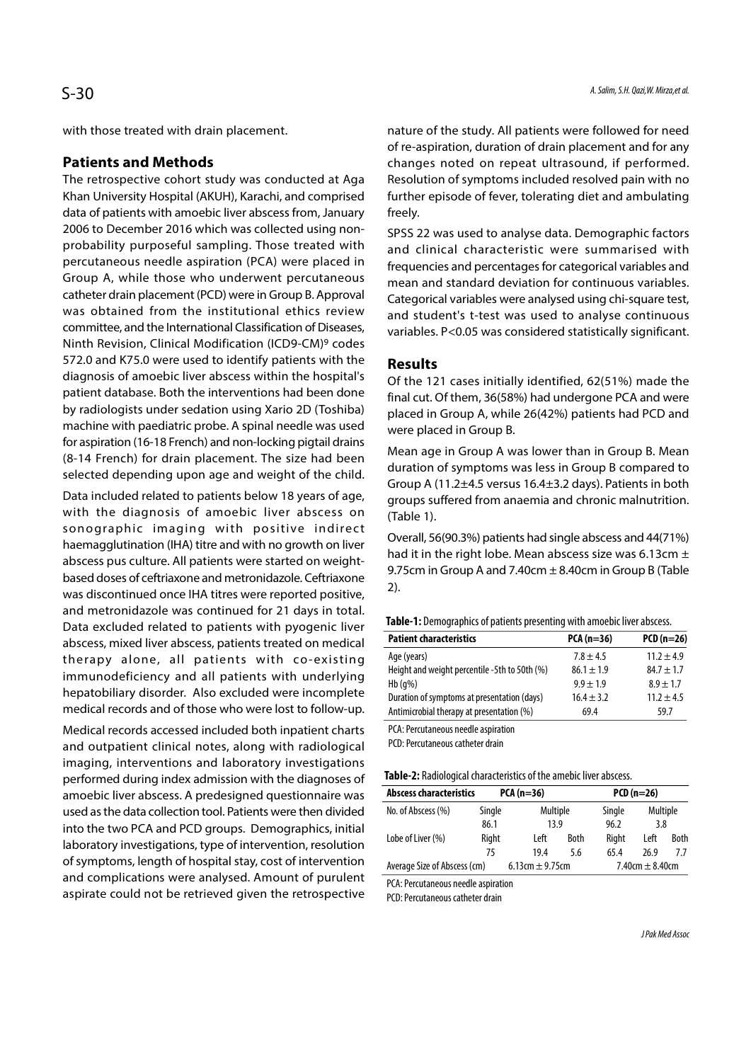with those treated with drain placement.

#### Patients and Methods

The retrospective cohort study was conducted at Aga Khan University Hospital (AKUH), Karachi, and comprised data of patients with amoebic liver abscess from, January 2006 to December 2016 which was collected using nonprobability purposeful sampling. Those treated with percutaneous needle aspiration (PCA) were placed in Group A, while those who underwent percutaneous catheter drain placement (PCD) were in Group B. Approval was obtained from the institutional ethics review committee, and the International Classification of Diseases, Ninth Revision, Clinical Modification (ICD9-CM)9 codes 572.0 and K75.0 were used to identify patients with the diagnosis of amoebic liver abscess within the hospital's patient database. Both the interventions had been done by radiologists under sedation using Xario 2D (Toshiba) machine with paediatric probe. A spinal needle was used for aspiration (16-18 French) and non-locking pigtail drains (8-14 French) for drain placement. The size had been selected depending upon age and weight of the child. patient database. Both the interventions had been done<br>by radiologists under sedation using Xario 2D (Toshiba)<br>machine with paediatric probe. A spinal needle was used<br>for aspiration (16-18 French) and non-locking pigtail d

Data included related to patients below 18 years of age, with the diagnosis of amoebic liver abscess on haemagglutination (IHA) titre and with no growth on liver abscess pus culture. All patients were started on weightbased doses of ceftriaxone and metronidazole. Ceftriaxone was discontinued once IHA titres were reported positive, and metronidazole was continued for 21 days in total. Data excluded related to patients with pyogenic liver abscess, mixed liver abscess, patients treated on medical Figuential computer in the diagnosis of all positive indirect<br>
Anamagglutination (IHA) titre and with no growth on liver<br>
abscess pus culture. All patients were started on weight-<br>
based doses of ceftriaxone and metronida immunodeficiency and all patients with underlying hepatobiliary disorder. Also excluded were incomplete medical records and of those who were lost to follow-up.

Medical records accessed included both inpatient charts and outpatient clinical notes, along with radiological imaging, interventions and laboratory investigations performed during index admission with the diagnoses of amoebic liver abscess. A predesigned questionnaire was used as the data collection tool. Patients were then divided into the two PCA and PCD groups. Demographics, initial laboratory investigations, type of intervention, resolution of symptoms, length of hospital stay, cost of intervention and complications were analysed. Amount of purulent aspirate could not be retrieved given the retrospective

nature of the study. All patients were followed for need of re-aspiration, duration of drain placement and for any changes noted on repeat ultrasound, if performed. Resolution of symptoms included resolved pain with no further episode of fever, tolerating diet and ambulating freely.

SPSS 22 was used to analyse data. Demographic factors and clinical characteristic were summarised with frequencies and percentages for categorical variables and mean and standard deviation for continuous variables. Categorical variables were analysed using chi-square test, and student's t-test was used to analyse continuous variables. P<0.05 was considered statistically significant.

### Results

Of the 121 cases initially identified, 62(51%) made the final cut. Of them, 36(58%) had undergone PCA and were placed in Group A, while 26(42%) patients had PCD and were placed in Group B.

Mean age in Group A was lower than in Group B. Mean duration of symptoms was less in Group B compared to Group A (11.2±4.5 versus 16.4±3.2 days). Patients in both groups suffered from anaemia and chronic malnutrition. (Table 1).

Overall, 56(90.3%) patients had single abscess and 44(71%) had it in the right lobe. Mean abscess size was 6.13cm  $\pm$ 9.75cm in Group A and 7.40cm  $\pm$  8.40cm in Group B (Table 2).

|  |  |  |  |  | <b>Table-1:</b> Demographics of patients presenting with amoebic liver abscess. |  |  |  |  |
|--|--|--|--|--|---------------------------------------------------------------------------------|--|--|--|--|
|--|--|--|--|--|---------------------------------------------------------------------------------|--|--|--|--|

| <b>Patient characteristics</b>                | $PCA (n=36)$   | $PCD(n=26)$    |
|-----------------------------------------------|----------------|----------------|
| Age (years)                                   | $7.8 \pm 4.5$  | $11.2 \pm 4.9$ |
| Height and weight percentile -5th to 50th (%) | $86.1 \pm 1.9$ | $84.7 \pm 1.7$ |
| $Hb(q\%)$                                     | $9.9 \pm 1.9$  | $8.9 \pm 1.7$  |
| Duration of symptoms at presentation (days)   | $16.4 \pm 3.2$ | $11.2 \pm 4.5$ |
| Antimicrobial therapy at presentation (%)     | 69.4           | 59.7           |
|                                               |                |                |

PCA: Percutaneous needle aspiration

PCD: Percutaneous catheter drain

| <b>Abscess characteristics</b> | $PCA (n=36)$        |          |             |                     | $PCD(n=26)$ |          |  |
|--------------------------------|---------------------|----------|-------------|---------------------|-------------|----------|--|
| No. of Abscess (%)             | Single              | Multiple |             | Single              |             | Multiple |  |
|                                | 86.1                | 13.9     |             | 96.2                |             | 3.8      |  |
| Lobe of Liver (%)              | Right               | Left     | <b>Both</b> | Right               | Left        | Both     |  |
|                                | 75                  | 19.4     | 5.6         | 65.4                | 26.9        | 77       |  |
| Average Size of Abscess (cm)   | 6.13cm $\pm$ 9.75cm |          |             | 7.40cm $\pm$ 8.40cm |             |          |  |

PCA: Percutaneous needle aspiration

PCD: Percutaneous catheter drain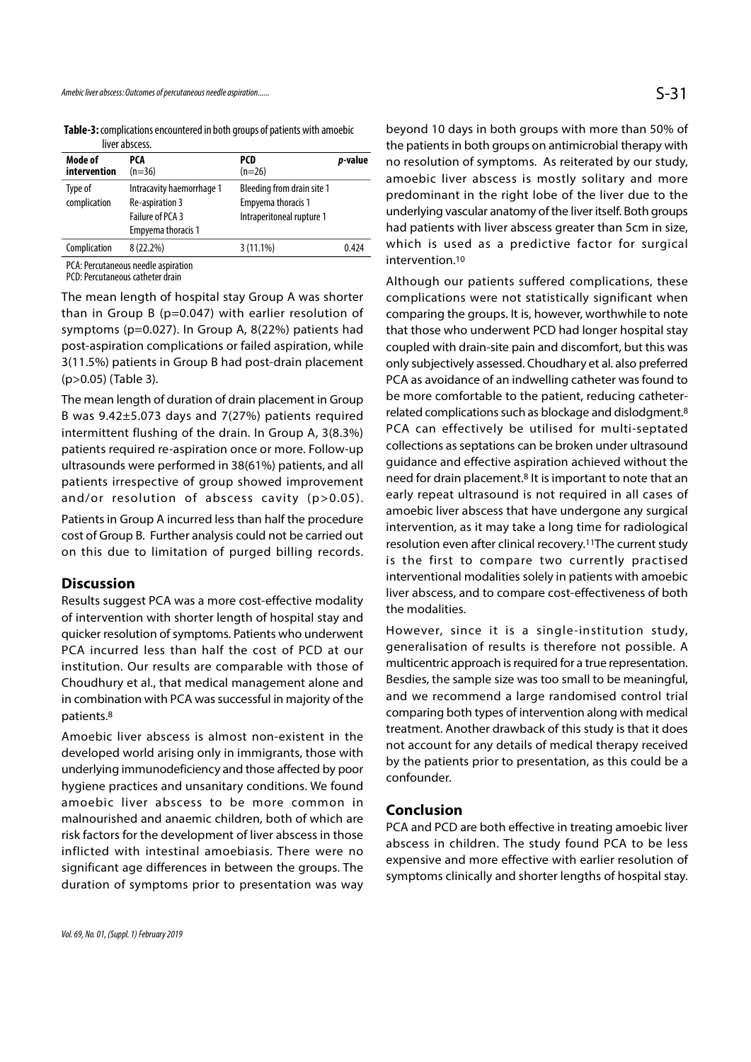Table-3: complications encountered in both groups of patients with amoebic liver abscess

|                         | <b>IIVEL UNJECTS.</b>                                                                  |                                                                               |         |
|-------------------------|----------------------------------------------------------------------------------------|-------------------------------------------------------------------------------|---------|
| Mode of<br>intervention | PCA<br>$(n=36)$                                                                        | PCD<br>$(n=26)$                                                               | p-value |
| Type of<br>complication | Intracavity haemorrhage 1<br>Re-aspiration 3<br>Failure of PCA 3<br>Empyema thoracis 1 | Bleeding from drain site 1<br>Empyema thoracis 1<br>Intraperitoneal rupture 1 |         |
| Complication            | 8 (22.2%)                                                                              | $3(11.1\%)$                                                                   | 0.424   |
| $\sim$ $\sim$ $\sim$    | <br>                                                                                   |                                                                               |         |

PCA: Percutaneous needle aspiration

PCD: Percutaneous catheter drain

The mean length of hospital stay Group A was shorter than in Group B (p=0.047) with earlier resolution of symptoms (p=0.027). In Group A, 8(22%) patients had post-aspiration complications or failed aspiration, while 3(11.5%) patients in Group B had post-drain placement (p>0.05) (Table 3).

The mean length of duration of drain placement in Group B was 9.42±5.073 days and 7(27%) patients required intermittent flushing of the drain. In Group A, 3(8.3%) patients required re-aspiration once or more. Follow-up ultrasounds were performed in 38(61%) patients, and all patients irrespective of group showed improvement and/or resolution of abscess cavity (p>0.05).

Patients in Group A incurred less than half the procedure cost of Group B. Further analysis could not be carried out on this due to limitation of purged billing records.

#### **Discussion**

Results suggest PCA was a more cost-effective modality of intervention with shorter length of hospital stay and quicker resolution of symptoms. Patients who underwent PCA incurred less than half the cost of PCD at our institution. Our results are comparable with those of Choudhury et al., that medical management alone and in combination with PCA was successful in majority of the patients.8

Amoebic liver abscess is almost non-existent in the developed world arising only in immigrants, those with underlying immunodeficiency and those affected by poor hygiene practices and unsanitary conditions. We found amoebic liver abscess to be more common in malnourished and anaemic children, both of which are risk factors for the development of liver abscess in those inflicted with intestinal amoebiasis. There were no significant age differences in between the groups. The duration of symptoms prior to presentation was way beyond 10 days in both groups with more than 50% of the patients in both groups on antimicrobial therapy with no resolution of symptoms. As reiterated by our study, amoebic liver abscess is mostly solitary and more predominant in the right lobe of the liver due to the underlying vascular anatomy of the liver itself. Both groups had patients with liver abscess greater than 5cm in size, which is used as a predictive factor for surgical intervention.10

Although our patients suffered complications, these complications were not statistically significant when comparing the groups. It is, however, worthwhile to note that those who underwent PCD had longer hospital stay coupled with drain-site pain and discomfort, but this was only subjectively assessed. Choudhary et al. also preferred PCA as avoidance of an indwelling catheter was found to be more comfortable to the patient, reducing catheterrelated complications such as blockage and dislodgment.8 PCA can effectively be utilised for multi-septated collections as septations can be broken under ultrasound guidance and effective aspiration achieved without the need for drain placement.8 It is important to note that an early repeat ultrasound is not required in all cases of amoebic liver abscess that have undergone any surgical intervention, as it may take a long time for radiological resolution even after clinical recovery.11The current study is the first to compare two currently practised interventional modalities solely in patients with amoebic liver abscess, and to compare cost-effectiveness of both the modalities.

However, since it is a single-institution study, generalisation of results is therefore not possible. A multicentric approach is required for a true representation. Besdies, the sample size was too small to be meaningful, and we recommend a large randomised control trial comparing both types of intervention along with medical treatment. Another drawback of this study is that it does not account for any details of medical therapy received by the patients prior to presentation, as this could be a confounder.

#### Conclusion

PCA and PCD are both effective in treating amoebic liver abscess in children. The study found PCA to be less expensive and more effective with earlier resolution of symptoms clinically and shorter lengths of hospital stay.